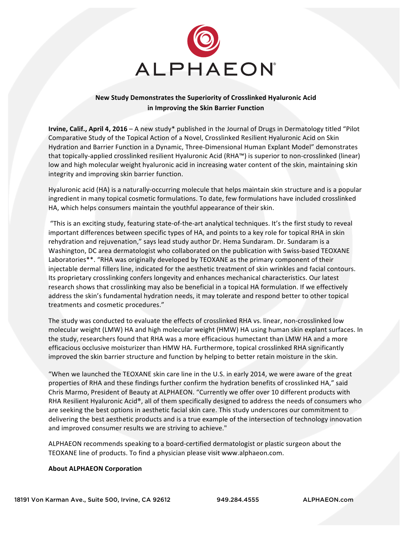

## **New Study Demonstrates the Superiority of Crosslinked Hyaluronic Acid in Improving the Skin Barrier Function**

**Irvine, Calif., April 4, 2016** – A new study\* published in the Journal of Drugs in Dermatology titled "Pilot Comparative Study of the Topical Action of a Novel, Crosslinked Resilient Hyaluronic Acid on Skin Hydration and Barrier Function in a Dynamic, Three-Dimensional Human Explant Model" demonstrates that topically-applied crosslinked resilient Hyaluronic Acid (RHA™) is superior to non-crosslinked (linear) low and high molecular weight hyaluronic acid in increasing water content of the skin, maintaining skin integrity and improving skin barrier function.

Hyaluronic acid (HA) is a naturally-occurring molecule that helps maintain skin structure and is a popular ingredient in many topical cosmetic formulations. To date, few formulations have included crosslinked HA, which helps consumers maintain the youthful appearance of their skin.

"This is an exciting study, featuring state-of-the-art analytical techniques. It's the first study to reveal important differences between specific types of HA, and points to a key role for topical RHA in skin rehydration and rejuvenation," says lead study author Dr. Hema Sundaram. Dr. Sundaram is a Washington, DC area dermatologist who collaborated on the publication with Swiss-based TEOXANE Laboratories\*\*. "RHA was originally developed by TEOXANE as the primary component of their injectable dermal fillers line, indicated for the aesthetic treatment of skin wrinkles and facial contours. Its proprietary crosslinking confers longevity and enhances mechanical characteristics. Our latest research shows that crosslinking may also be beneficial in a topical HA formulation. If we effectively address the skin's fundamental hydration needs, it may tolerate and respond better to other topical treatments and cosmetic procedures."

The study was conducted to evaluate the effects of crosslinked RHA vs. linear, non-crosslinked low molecular weight (LMW) HA and high molecular weight (HMW) HA using human skin explant surfaces. In the study, researchers found that RHA was a more efficacious humectant than LMW HA and a more efficacious occlusive moisturizer than HMW HA. Furthermore, topical crosslinked RHA significantly improved the skin barrier structure and function by helping to better retain moisture in the skin.

"When we launched the TEOXANE skin care line in the U.S. in early 2014, we were aware of the great properties of RHA and these findings further confirm the hydration benefits of crosslinked HA," said Chris Marmo, President of Beauty at ALPHAEON. "Currently we offer over 10 different products with RHA Resilient Hyaluronic Acid®, all of them specifically designed to address the needs of consumers who are seeking the best options in aesthetic facial skin care. This study underscores our commitment to delivering the best aesthetic products and is a true example of the intersection of technology innovation and improved consumer results we are striving to achieve."

ALPHAEON recommends speaking to a board-certified dermatologist or plastic surgeon about the TEOXANE line of products. To find a physician please visit www.alphaeon.com.

## **About ALPHAEON Corporation**